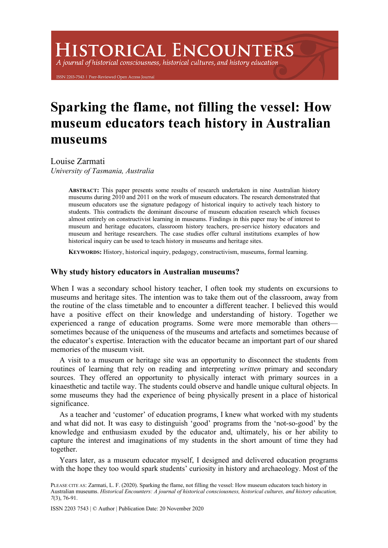# **HISTORICAL ENCOUNTERS**

A journal of historical consciousness, historical cultures, and history education

203-7543 | Peer-Reviewed Open Access Journ

# **Sparking the flame, not filling the vessel: How museum educators teach history in Australian museums**

Louise Zarmati *University of Tasmania, Australia*

> **ABSTRACT:** This paper presents some results of research undertaken in nine Australian history museums during 2010 and 2011 on the work of museum educators. The research demonstrated that museum educators use the signature pedagogy of historical inquiry to actively teach history to students. This contradicts the dominant discourse of museum education research which focuses almost entirely on constructivist learning in museums. Findings in this paper may be of interest to museum and heritage educators, classroom history teachers, pre-service history educators and museum and heritage researchers. The case studies offer cultural institutions examples of how historical inquiry can be used to teach history in museums and heritage sites.

**KEYWORDS:** History, historical inquiry, pedagogy, constructivism, museums, formal learning.

### **Why study history educators in Australian museums?**

When I was a secondary school history teacher, I often took my students on excursions to museums and heritage sites. The intention was to take them out of the classroom, away from the routine of the class timetable and to encounter a different teacher. I believed this would have a positive effect on their knowledge and understanding of history. Together we experienced a range of education programs. Some were more memorable than others sometimes because of the uniqueness of the museums and artefacts and sometimes because of the educator's expertise. Interaction with the educator became an important part of our shared memories of the museum visit.

A visit to a museum or heritage site was an opportunity to disconnect the students from routines of learning that rely on reading and interpreting *written* primary and secondary sources. They offered an opportunity to physically interact with primary sources in a kinaesthetic and tactile way. The students could observe and handle unique cultural objects. In some museums they had the experience of being physically present in a place of historical significance.

As a teacher and 'customer' of education programs, I knew what worked with my students and what did not. It was easy to distinguish 'good' programs from the 'not-so-good' by the knowledge and enthusiasm exuded by the educator and, ultimately, his or her ability to capture the interest and imaginations of my students in the short amount of time they had together.

Years later, as a museum educator myself, I designed and delivered education programs with the hope they too would spark students' curiosity in history and archaeology. Most of the

PLEASE CITE AS: Zarmati, L. F. (2020). Sparking the flame, not filling the vessel: How museum educators teach history in Australian museums. *Historical Encounters: A journal of historical consciousness, historical cultures, and history education, 7*(3), 76-91.

ISSN 2203 7543 | © Author | Publication Date: 20 November 2020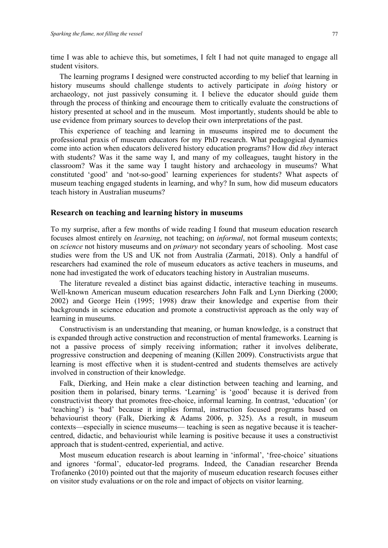time I was able to achieve this, but sometimes, I felt I had not quite managed to engage all student visitors.

The learning programs I designed were constructed according to my belief that learning in history museums should challenge students to actively participate in *doing* history or archaeology, not just passively consuming it. I believe the educator should guide them through the process of thinking and encourage them to critically evaluate the constructions of history presented at school and in the museum. Most importantly, students should be able to use evidence from primary sources to develop their own interpretations of the past.

This experience of teaching and learning in museums inspired me to document the professional praxis of museum educators for my PhD research. What pedagogical dynamics come into action when educators delivered history education programs? How did *they* interact with students? Was it the same way I, and many of my colleagues, taught history in the classroom? Was it the same way I taught history and archaeology in museums? What constituted 'good' and 'not-so-good' learning experiences for students? What aspects of museum teaching engaged students in learning, and why? In sum, how did museum educators teach history in Australian museums?

#### **Research on teaching and learning history in museums**

To my surprise, after a few months of wide reading I found that museum education research focuses almost entirely on *learning*, not teaching; on *informal*, not formal museum contexts; on *science* not history museums and on *primary* not secondary years of schooling. Most case studies were from the US and UK not from Australia (Zarmati, 2018). Only a handful of researchers had examined the role of museum educators as active teachers in museums, and none had investigated the work of educators teaching history in Australian museums.

The literature revealed a distinct bias against didactic, interactive teaching in museums. Well-known American museum education researchers John Falk and Lynn Dierking (2000; 2002) and George Hein (1995; 1998) draw their knowledge and expertise from their backgrounds in science education and promote a constructivist approach as the only way of learning in museums.

Constructivism is an understanding that meaning, or human knowledge, is a construct that is expanded through active construction and reconstruction of mental frameworks. Learning is not a passive process of simply receiving information; rather it involves deliberate, progressive construction and deepening of meaning (Killen 2009). Constructivists argue that learning is most effective when it is student-centred and students themselves are actively involved in construction of their knowledge.

Falk, Dierking, and Hein make a clear distinction between teaching and learning, and position them in polarised, binary terms. 'Learning' is 'good' because it is derived from constructivist theory that promotes free-choice, informal learning. In contrast, 'education' (or 'teaching') is 'bad' because it implies formal, instruction focused programs based on behaviourist theory (Falk, Dierking & Adams 2006, p. 325). As a result, in museum contexts—especially in science museums— teaching is seen as negative because it is teachercentred, didactic, and behaviourist while learning is positive because it uses a constructivist approach that is student-centred, experiential, and active.

Most museum education research is about learning in 'informal', 'free-choice' situations and ignores 'formal', educator-led programs. Indeed, the Canadian researcher Brenda Trofanenko (2010) pointed out that the majority of museum education research focuses either on visitor study evaluations or on the role and impact of objects on visitor learning.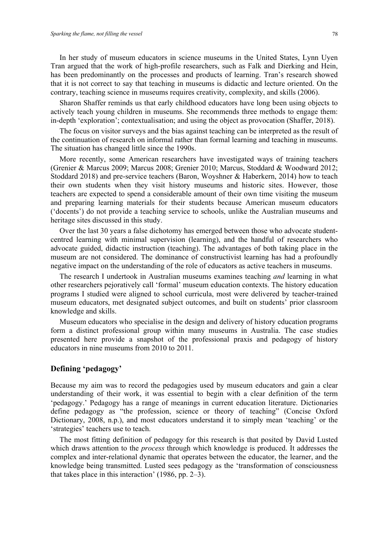In her study of museum educators in science museums in the United States, Lynn Uyen Tran argued that the work of high-profile researchers, such as Falk and Dierking and Hein, has been predominantly on the processes and products of learning. Tran's research showed that it is not correct to say that teaching in museums is didactic and lecture oriented. On the contrary, teaching science in museums requires creativity, complexity, and skills (2006).

Sharon Shaffer reminds us that early childhood educators have long been using objects to actively teach young children in museums. She recommends three methods to engage them: in-depth 'exploration'; contextualisation; and using the object as provocation (Shaffer, 2018).

The focus on visitor surveys and the bias against teaching can be interpreted as the result of the continuation of research on informal rather than formal learning and teaching in museums. The situation has changed little since the 1990s.

More recently, some American researchers have investigated ways of training teachers (Grenier & Marcus 2009; Marcus 2008; Grenier 2010; Marcus, Stoddard & Woodward 2012; Stoddard 2018) and pre-service teachers (Baron, Woyshner & Haberkern, 2014) how to teach their own students when they visit history museums and historic sites. However, those teachers are expected to spend a considerable amount of their own time visiting the museum and preparing learning materials for their students because American museum educators ('docents') do not provide a teaching service to schools, unlike the Australian museums and heritage sites discussed in this study.

Over the last 30 years a false dichotomy has emerged between those who advocate studentcentred learning with minimal supervision (learning), and the handful of researchers who advocate guided, didactic instruction (teaching). The advantages of both taking place in the museum are not considered. The dominance of constructivist learning has had a profoundly negative impact on the understanding of the role of educators as active teachers in museums.

The research I undertook in Australian museums examines teaching *and* learning in what other researchers pejoratively call 'formal' museum education contexts. The history education programs I studied were aligned to school curricula, most were delivered by teacher-trained museum educators, met designated subject outcomes, and built on students' prior classroom knowledge and skills.

Museum educators who specialise in the design and delivery of history education programs form a distinct professional group within many museums in Australia. The case studies presented here provide a snapshot of the professional praxis and pedagogy of history educators in nine museums from 2010 to 2011.

## **Defining 'pedagogy'**

Because my aim was to record the pedagogies used by museum educators and gain a clear understanding of their work, it was essential to begin with a clear definition of the term 'pedagogy.' Pedagogy has a range of meanings in current education literature. Dictionaries define pedagogy as "the profession, science or theory of teaching" (Concise Oxford Dictionary, 2008, n.p.), and most educators understand it to simply mean 'teaching' or the 'strategies' teachers use to teach.

The most fitting definition of pedagogy for this research is that posited by David Lusted which draws attention to the *process* through which knowledge is produced. It addresses the complex and inter-relational dynamic that operates between the educator, the learner, and the knowledge being transmitted. Lusted sees pedagogy as the 'transformation of consciousness that takes place in this interaction' (1986, pp. 2–3).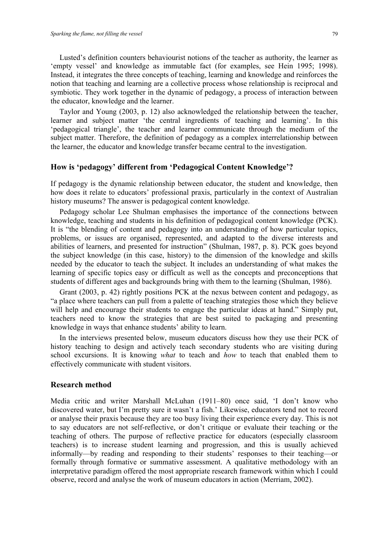Lusted's definition counters behaviourist notions of the teacher as authority, the learner as 'empty vessel' and knowledge as immutable fact (for examples, see Hein 1995; 1998). Instead, it integrates the three concepts of teaching, learning and knowledge and reinforces the notion that teaching and learning are a collective process whose relationship is reciprocal and symbiotic. They work together in the dynamic of pedagogy, a process of interaction between the educator, knowledge and the learner.

Taylor and Young (2003, p. 12) also acknowledged the relationship between the teacher, learner and subject matter 'the central ingredients of teaching and learning'. In this 'pedagogical triangle', the teacher and learner communicate through the medium of the subject matter. Therefore, the definition of pedagogy as a complex interrelationship between the learner, the educator and knowledge transfer became central to the investigation.

# **How is 'pedagogy' different from 'Pedagogical Content Knowledge'?**

If pedagogy is the dynamic relationship between educator, the student and knowledge, then how does it relate to educators' professional praxis, particularly in the context of Australian history museums? The answer is pedagogical content knowledge.

Pedagogy scholar Lee Shulman emphasises the importance of the connections between knowledge, teaching and students in his definition of pedagogical content knowledge (PCK). It is "the blending of content and pedagogy into an understanding of how particular topics, problems, or issues are organised, represented, and adapted to the diverse interests and abilities of learners, and presented for instruction" (Shulman, 1987, p. 8). PCK goes beyond the subject knowledge (in this case, history) to the dimension of the knowledge and skills needed by the educator to teach the subject. It includes an understanding of what makes the learning of specific topics easy or difficult as well as the concepts and preconceptions that students of different ages and backgrounds bring with them to the learning (Shulman, 1986).

Grant (2003, p. 42) rightly positions PCK at the nexus between content and pedagogy, as "a place where teachers can pull from a palette of teaching strategies those which they believe will help and encourage their students to engage the particular ideas at hand." Simply put, teachers need to know the strategies that are best suited to packaging and presenting knowledge in ways that enhance students' ability to learn.

In the interviews presented below, museum educators discuss how they use their PCK of history teaching to design and actively teach secondary students who are visiting during school excursions. It is knowing *what* to teach and *how* to teach that enabled them to effectively communicate with student visitors.

#### **Research method**

Media critic and writer Marshall McLuhan (1911–80) once said, 'I don't know who discovered water, but I'm pretty sure it wasn't a fish.' Likewise, educators tend not to record or analyse their praxis because they are too busy living their experience every day. This is not to say educators are not self-reflective, or don't critique or evaluate their teaching or the teaching of others. The purpose of reflective practice for educators (especially classroom teachers) is to increase student learning and progression, and this is usually achieved informally—by reading and responding to their students' responses to their teaching—or formally through formative or summative assessment. A qualitative methodology with an interpretative paradigm offered the most appropriate research framework within which I could observe, record and analyse the work of museum educators in action (Merriam, 2002).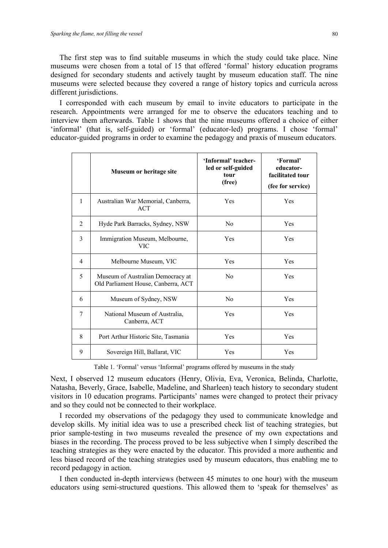The first step was to find suitable museums in which the study could take place. Nine museums were chosen from a total of 15 that offered 'formal' history education programs designed for secondary students and actively taught by museum education staff. The nine museums were selected because they covered a range of history topics and curricula across different jurisdictions.

I corresponded with each museum by email to invite educators to participate in the research. Appointments were arranged for me to observe the educators teaching and to interview them afterwards. Table 1 shows that the nine museums offered a choice of either 'informal' (that is, self-guided) or 'formal' (educator-led) programs. I chose 'formal' educator-guided programs in order to examine the pedagogy and praxis of museum educators.

|                | Museum or heritage site                                                  | 'Informal' teacher-<br>led or self-guided<br>tour<br>(free) | 'Formal'<br>educator-<br>facilitated tour<br>(fee for service) |
|----------------|--------------------------------------------------------------------------|-------------------------------------------------------------|----------------------------------------------------------------|
| $\mathbf{1}$   | Australian War Memorial, Canberra,<br>ACT                                | Yes                                                         | Yes                                                            |
| 2              | Hyde Park Barracks, Sydney, NSW                                          | N <sub>0</sub>                                              | Yes                                                            |
| $\overline{3}$ | Immigration Museum, Melbourne,<br><b>VIC</b>                             | Yes                                                         | Yes                                                            |
| 4              | Melbourne Museum, VIC                                                    | Yes                                                         | Yes                                                            |
| 5              | Museum of Australian Democracy at<br>Old Parliament House, Canberra, ACT | N <sub>0</sub>                                              | Yes                                                            |
| 6              | Museum of Sydney, NSW                                                    | N <sub>0</sub>                                              | Yes                                                            |
| $\tau$         | National Museum of Australia,<br>Canberra, ACT                           | Yes                                                         | Yes                                                            |
| 8              | Port Arthur Historic Site, Tasmania                                      | Yes                                                         | Yes                                                            |
| 9              | Sovereign Hill, Ballarat, VIC                                            | Yes                                                         | Yes                                                            |

Table 1. 'Formal' versus 'Informal' programs offered by museums in the study

Next, I observed 12 museum educators (Henry, Olivia, Eva, Veronica, Belinda, Charlotte, Natasha, Beverly, Grace, Isabelle, Madeline, and Sharleen) teach history to secondary student visitors in 10 education programs. Participants' names were changed to protect their privacy and so they could not be connected to their workplace.

I recorded my observations of the pedagogy they used to communicate knowledge and develop skills. My initial idea was to use a prescribed check list of teaching strategies, but prior sample-testing in two museums revealed the presence of my own expectations and biases in the recording. The process proved to be less subjective when I simply described the teaching strategies as they were enacted by the educator. This provided a more authentic and less biased record of the teaching strategies used by museum educators, thus enabling me to record pedagogy in action.

I then conducted in-depth interviews (between 45 minutes to one hour) with the museum educators using semi-structured questions. This allowed them to 'speak for themselves' as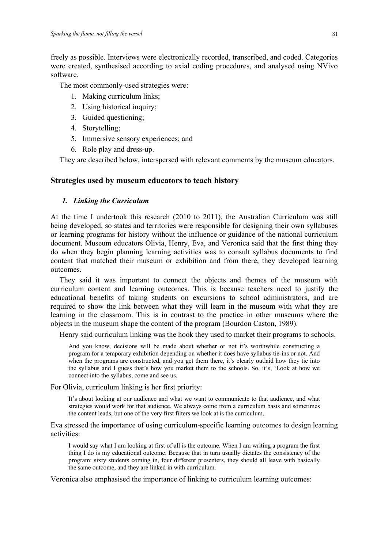freely as possible. Interviews were electronically recorded, transcribed, and coded. Categories were created, synthesised according to axial coding procedures, and analysed using NVivo software.

The most commonly-used strategies were:

- 1. Making curriculum links;
- 2. Using historical inquiry;
- 3. Guided questioning;
- 4. Storytelling;
- 5. Immersive sensory experiences; and
- 6. Role play and dress-up.

They are described below, interspersed with relevant comments by the museum educators.

#### **Strategies used by museum educators to teach history**

#### *1. Linking the Curriculum*

At the time I undertook this research (2010 to 2011), the Australian Curriculum was still being developed, so states and territories were responsible for designing their own syllabuses or learning programs for history without the influence or guidance of the national curriculum document. Museum educators Olivia, Henry, Eva, and Veronica said that the first thing they do when they begin planning learning activities was to consult syllabus documents to find content that matched their museum or exhibition and from there, they developed learning outcomes.

They said it was important to connect the objects and themes of the museum with curriculum content and learning outcomes. This is because teachers need to justify the educational benefits of taking students on excursions to school administrators, and are required to show the link between what they will learn in the museum with what they are learning in the classroom. This is in contrast to the practice in other museums where the objects in the museum shape the content of the program (Bourdon Caston, 1989).

Henry said curriculum linking was the hook they used to market their programs to schools.

And you know, decisions will be made about whether or not it's worthwhile constructing a program for a temporary exhibition depending on whether it does have syllabus tie-ins or not. And when the programs are constructed, and you get them there, it's clearly outlaid how they tie into the syllabus and I guess that's how you market them to the schools. So, it's, 'Look at how we connect into the syllabus, come and see us.

For Olivia, curriculum linking is her first priority:

It's about looking at our audience and what we want to communicate to that audience, and what strategies would work for that audience. We always come from a curriculum basis and sometimes the content leads, but one of the very first filters we look at is the curriculum.

Eva stressed the importance of using curriculum-specific learning outcomes to design learning activities:

I would say what I am looking at first of all is the outcome. When I am writing a program the first thing I do is my educational outcome. Because that in turn usually dictates the consistency of the program: sixty students coming in, four different presenters, they should all leave with basically the same outcome, and they are linked in with curriculum.

Veronica also emphasised the importance of linking to curriculum learning outcomes: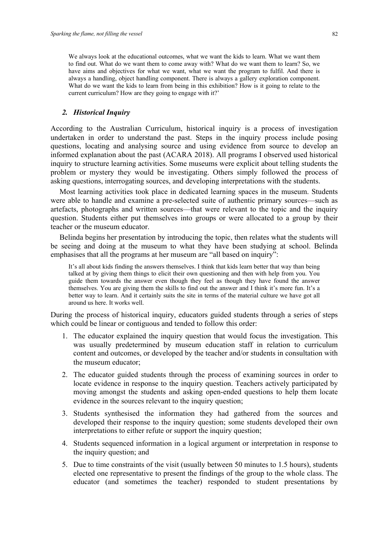We always look at the educational outcomes, what we want the kids to learn. What we want them to find out. What do we want them to come away with? What do we want them to learn? So, we have aims and objectives for what we want, what we want the program to fulfil. And there is always a handling, object handling component. There is always a gallery exploration component. What do we want the kids to learn from being in this exhibition? How is it going to relate to the current curriculum? How are they going to engage with it?'

#### *2. Historical Inquiry*

According to the Australian Curriculum, historical inquiry is a process of investigation undertaken in order to understand the past. Steps in the inquiry process include posing questions, locating and analysing source and using evidence from source to develop an informed explanation about the past (ACARA 2018). All programs I observed used historical inquiry to structure learning activities. Some museums were explicit about telling students the problem or mystery they would be investigating. Others simply followed the process of asking questions, interrogating sources, and developing interpretations with the students.

Most learning activities took place in dedicated learning spaces in the museum. Students were able to handle and examine a pre-selected suite of authentic primary sources—such as artefacts, photographs and written sources—that were relevant to the topic and the inquiry question. Students either put themselves into groups or were allocated to a group by their teacher or the museum educator.

Belinda begins her presentation by introducing the topic, then relates what the students will be seeing and doing at the museum to what they have been studying at school. Belinda emphasises that all the programs at her museum are "all based on inquiry":

It's all about kids finding the answers themselves. I think that kids learn better that way than being talked at by giving them things to elicit their own questioning and then with help from you. You guide them towards the answer even though they feel as though they have found the answer themselves. You are giving them the skills to find out the answer and I think it's more fun. It's a better way to learn. And it certainly suits the site in terms of the material culture we have got all around us here. It works well.

During the process of historical inquiry, educators guided students through a series of steps which could be linear or contiguous and tended to follow this order:

- 1. The educator explained the inquiry question that would focus the investigation. This was usually predetermined by museum education staff in relation to curriculum content and outcomes, or developed by the teacher and/or students in consultation with the museum educator;
- 2. The educator guided students through the process of examining sources in order to locate evidence in response to the inquiry question. Teachers actively participated by moving amongst the students and asking open-ended questions to help them locate evidence in the sources relevant to the inquiry question;
- 3. Students synthesised the information they had gathered from the sources and developed their response to the inquiry question; some students developed their own interpretations to either refute or support the inquiry question;
- 4. Students sequenced information in a logical argument or interpretation in response to the inquiry question; and
- 5. Due to time constraints of the visit (usually between 50 minutes to 1.5 hours), students elected one representative to present the findings of the group to the whole class. The educator (and sometimes the teacher) responded to student presentations by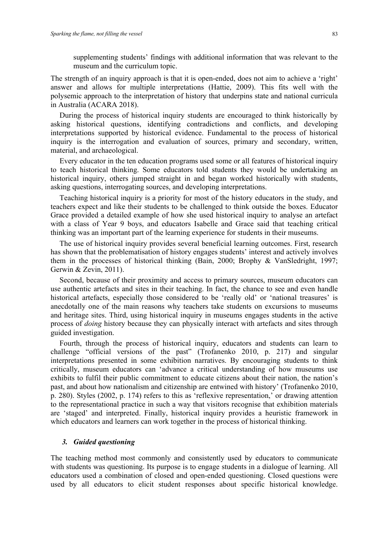supplementing students' findings with additional information that was relevant to the museum and the curriculum topic.

The strength of an inquiry approach is that it is open-ended, does not aim to achieve a 'right' answer and allows for multiple interpretations (Hattie, 2009). This fits well with the polysemic approach to the interpretation of history that underpins state and national curricula in Australia (ACARA 2018).

During the process of historical inquiry students are encouraged to think historically by asking historical questions, identifying contradictions and conflicts, and developing interpretations supported by historical evidence. Fundamental to the process of historical inquiry is the interrogation and evaluation of sources, primary and secondary, written, material, and archaeological.

Every educator in the ten education programs used some or all features of historical inquiry to teach historical thinking. Some educators told students they would be undertaking an historical inquiry, others jumped straight in and began worked historically with students, asking questions, interrogating sources, and developing interpretations.

Teaching historical inquiry is a priority for most of the history educators in the study, and teachers expect and like their students to be challenged to think outside the boxes. Educator Grace provided a detailed example of how she used historical inquiry to analyse an artefact with a class of Year 9 boys, and educators Isabelle and Grace said that teaching critical thinking was an important part of the learning experience for students in their museums.

The use of historical inquiry provides several beneficial learning outcomes. First, research has shown that the problematisation of history engages students' interest and actively involves them in the processes of historical thinking (Bain, 2000; Brophy & VanSledright, 1997; Gerwin & Zevin, 2011).

Second, because of their proximity and access to primary sources, museum educators can use authentic artefacts and sites in their teaching. In fact, the chance to see and even handle historical artefacts, especially those considered to be 'really old' or 'national treasures' is anecdotally one of the main reasons why teachers take students on excursions to museums and heritage sites. Third, using historical inquiry in museums engages students in the active process of *doing* history because they can physically interact with artefacts and sites through guided investigation.

Fourth, through the process of historical inquiry, educators and students can learn to challenge "official versions of the past" (Trofanenko 2010, p. 217) and singular interpretations presented in some exhibition narratives. By encouraging students to think critically, museum educators can 'advance a critical understanding of how museums use exhibits to fulfil their public commitment to educate citizens about their nation, the nation's past, and about how nationalism and citizenship are entwined with history' (Trofanenko 2010, p. 280). Styles (2002, p. 174) refers to this as 'reflexive representation,' or drawing attention to the representational practice in such a way that visitors recognise that exhibition materials are 'staged' and interpreted. Finally, historical inquiry provides a heuristic framework in which educators and learners can work together in the process of historical thinking.

#### *3. Guided questioning*

The teaching method most commonly and consistently used by educators to communicate with students was questioning. Its purpose is to engage students in a dialogue of learning. All educators used a combination of closed and open-ended questioning. Closed questions were used by all educators to elicit student responses about specific historical knowledge.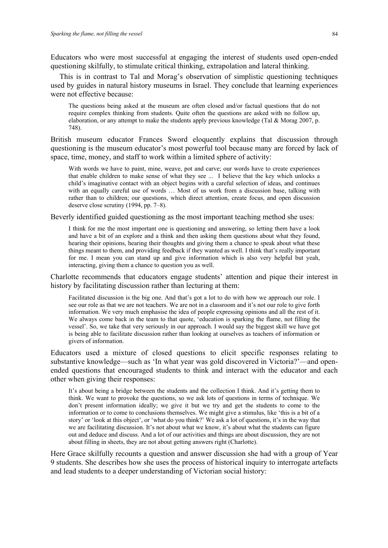Educators who were most successful at engaging the interest of students used open-ended questioning skilfully, to stimulate critical thinking, extrapolation and lateral thinking.

This is in contrast to Tal and Morag's observation of simplistic questioning techniques used by guides in natural history museums in Israel. They conclude that learning experiences were not effective because:

The questions being asked at the museum are often closed and/or factual questions that do not require complex thinking from students. Quite often the questions are asked with no follow up, elaboration, or any attempt to make the students apply previous knowledge (Tal & Morag 2007, p. 748).

British museum educator Frances Sword eloquently explains that discussion through questioning is the museum educator's most powerful tool because many are forced by lack of space, time, money, and staff to work within a limited sphere of activity:

With words we have to paint, mine, weave, pot and carve; our words have to create experiences that enable children to make sense of what they see ... I believe that the key which unlocks a child's imaginative contact with an object begins with a careful selection of ideas, and continues with an equally careful use of words … Most of us work from a discussion base, talking with rather than to children; our questions, which direct attention, create focus, and open discussion deserve close scrutiny (1994, pp. 7–8).

Beverly identified guided questioning as the most important teaching method she uses:

I think for me the most important one is questioning and answering, so letting them have a look and have a bit of an explore and a think and then asking them questions about what they found, hearing their opinions, hearing their thoughts and giving them a chance to speak about what these things meant to them, and providing feedback if they wanted as well. I think that's really important for me. I mean you can stand up and give information which is also very helpful but yeah, interacting, giving them a chance to question you as well.

Charlotte recommends that educators engage students' attention and pique their interest in history by facilitating discussion rather than lecturing at them:

Facilitated discussion is the big one. And that's got a lot to do with how we approach our role. I see our role as that we are not teachers. We are not in a classroom and it's not our role to give forth information. We very much emphasise the idea of people expressing opinions and all the rest of it. We always come back in the team to that quote, 'education is sparking the flame, not filling the vessel'. So, we take that very seriously in our approach. I would say the biggest skill we have got is being able to facilitate discussion rather than looking at ourselves as teachers of information or givers of information.

Educators used a mixture of closed questions to elicit specific responses relating to substantive knowledge—such as 'In what year was gold discovered in Victoria?'—and openended questions that encouraged students to think and interact with the educator and each other when giving their responses:

It's about being a bridge between the students and the collection I think. And it's getting them to think. We want to provoke the questions, so we ask lots of questions in terms of technique. We don't present information ideally; we give it but we try and get the students to come to the information or to come to conclusions themselves. We might give a stimulus, like 'this is a bit of a story' or 'look at this object', or 'what do you think?' We ask a lot of questions, it's in the way that we are facilitating discussion. It's not about what we know, it's about what the students can figure out and deduce and discuss. And a lot of our activities and things are about discussion, they are not about filling in sheets, they are not about getting answers right (Charlotte).

Here Grace skilfully recounts a question and answer discussion she had with a group of Year 9 students. She describes how she uses the process of historical inquiry to interrogate artefacts and lead students to a deeper understanding of Victorian social history: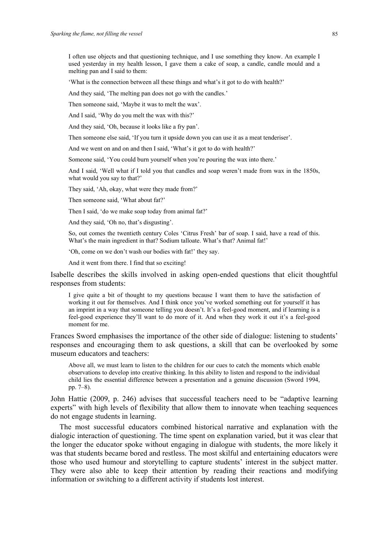I often use objects and that questioning technique, and I use something they know. An example I used yesterday in my health lesson, I gave them a cake of soap, a candle, candle mould and a melting pan and I said to them:

'What is the connection between all these things and what's it got to do with health?'

And they said, 'The melting pan does not go with the candles.'

Then someone said, 'Maybe it was to melt the wax'.

And I said, 'Why do you melt the wax with this?'

And they said, 'Oh, because it looks like a fry pan'.

Then someone else said, 'If you turn it upside down you can use it as a meat tenderiser'.

And we went on and on and then I said, 'What's it got to do with health?'

Someone said, 'You could burn yourself when you're pouring the wax into there.'

And I said, 'Well what if I told you that candles and soap weren't made from wax in the 1850s, what would you say to that?'

They said, 'Ah, okay, what were they made from?'

Then someone said, 'What about fat?'

Then I said, 'do we make soap today from animal fat?'

And they said, 'Oh no, that's disgusting'.

So, out comes the twentieth century Coles 'Citrus Fresh' bar of soap. I said, have a read of this. What's the main ingredient in that? Sodium talloate. What's that? Animal fat!'

'Oh, come on we don't wash our bodies with fat!' they say.

And it went from there. I find that so exciting!

Isabelle describes the skills involved in asking open-ended questions that elicit thoughtful responses from students:

I give quite a bit of thought to my questions because I want them to have the satisfaction of working it out for themselves. And I think once you've worked something out for yourself it has an imprint in a way that someone telling you doesn't. It's a feel-good moment, and if learning is a feel-good experience they'll want to do more of it. And when they work it out it's a feel-good moment for me.

Frances Sword emphasises the importance of the other side of dialogue: listening to students' responses and encouraging them to ask questions, a skill that can be overlooked by some museum educators and teachers:

Above all, we must learn to listen to the children for our cues to catch the moments which enable observations to develop into creative thinking. In this ability to listen and respond to the individual child lies the essential difference between a presentation and a genuine discussion (Sword 1994, pp. 7–8).

John Hattie (2009, p. 246) advises that successful teachers need to be "adaptive learning experts" with high levels of flexibility that allow them to innovate when teaching sequences do not engage students in learning.

The most successful educators combined historical narrative and explanation with the dialogic interaction of questioning. The time spent on explanation varied, but it was clear that the longer the educator spoke without engaging in dialogue with students, the more likely it was that students became bored and restless. The most skilful and entertaining educators were those who used humour and storytelling to capture students' interest in the subject matter. They were also able to keep their attention by reading their reactions and modifying information or switching to a different activity if students lost interest.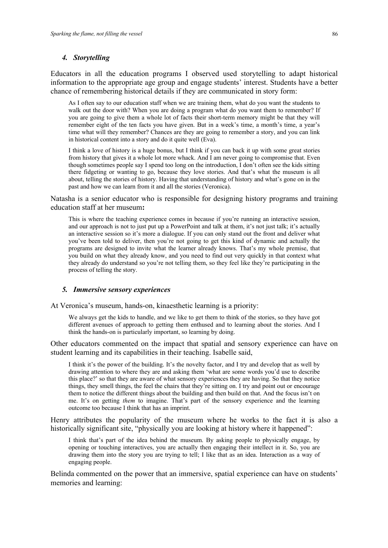#### *4. Storytelling*

Educators in all the education programs I observed used storytelling to adapt historical information to the appropriate age group and engage students' interest. Students have a better chance of remembering historical details if they are communicated in story form:

As I often say to our education staff when we are training them, what do you want the students to walk out the door with? When you are doing a program what do you want them to remember? If you are going to give them a whole lot of facts their short-term memory might be that they will remember eight of the ten facts you have given. But in a week's time, a month's time, a year's time what will they remember? Chances are they are going to remember a story, and you can link in historical content into a story and do it quite well (Eva).

I think a love of history is a huge bonus, but I think if you can back it up with some great stories from history that gives it a whole lot more whack. And I am never going to compromise that. Even though sometimes people say I spend too long on the introduction, I don't often see the kids sitting there fidgeting or wanting to go, because they love stories. And that's what the museum is all about, telling the stories of history. Having that understanding of history and what's gone on in the past and how we can learn from it and all the stories (Veronica).

Natasha is a senior educator who is responsible for designing history programs and training education staff at her museum**:**

This is where the teaching experience comes in because if you're running an interactive session, and our approach is not to just put up a PowerPoint and talk at them, it's not just talk; it's actually an interactive session so it's more a dialogue. If you can only stand out the front and deliver what you've been told to deliver, then you're not going to get this kind of dynamic and actually the programs are designed to invite what the learner already knows. That's my whole premise, that you build on what they already know, and you need to find out very quickly in that context what they already do understand so you're not telling them, so they feel like they're participating in the process of telling the story.

#### *5. Immersive sensory experiences*

At Veronica's museum, hands-on, kinaesthetic learning is a priority:

We always get the kids to handle, and we like to get them to think of the stories, so they have got different avenues of approach to getting them enthused and to learning about the stories. And I think the hands-on is particularly important, so learning by doing.

Other educators commented on the impact that spatial and sensory experience can have on student learning and its capabilities in their teaching. Isabelle said,

I think it's the power of the building. It's the novelty factor, and I try and develop that as well by drawing attention to where they are and asking them 'what are some words you'd use to describe this place?' so that they are aware of what sensory experiences they are having. So that they notice things, they smell things, the feel the chairs that they're sitting on. I try and point out or encourage them to notice the different things about the building and then build on that. And the focus isn't on me. It's on getting *them* to imagine. That's part of the sensory experience and the learning outcome too because I think that has an imprint.

Henry attributes the popularity of the museum where he works to the fact it is also a historically significant site, "physically you are looking at history where it happened":

I think that's part of the idea behind the museum. By asking people to physically engage, by opening or touching interactives, you are actually then engaging their intellect in it. So, you are drawing them into the story you are trying to tell; I like that as an idea. Interaction as a way of engaging people.

Belinda commented on the power that an immersive, spatial experience can have on students' memories and learning: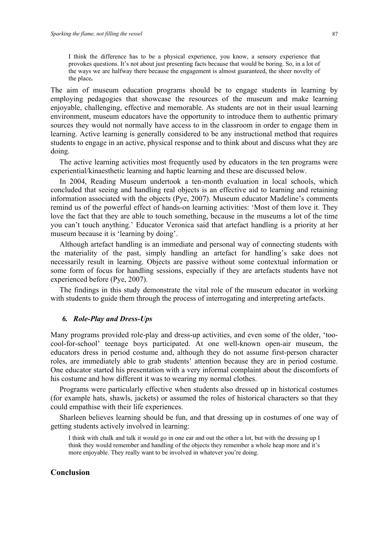I think the difference has to be a physical experience, you know, a sensory experience that provokes questions. It's not about just presenting facts because that would be boring. So, in a lot of the ways we are halfway there because the engagement is almost guaranteed, the sheer novelty of the place**.**

The aim of museum education programs should be to engage students in learning by employing pedagogies that showcase the resources of the museum and make learning enjoyable, challenging, effective and memorable. As students are not in their usual learning environment, museum educators have the opportunity to introduce them to authentic primary sources they would not normally have access to in the classroom in order to engage them in learning. Active learning is generally considered to be any instructional method that requires students to engage in an active, physical response and to think about and discuss what they are doing.

The active learning activities most frequently used by educators in the ten programs were experiential/kinaesthetic learning and haptic learning and these are discussed below.

In 2004, Reading Museum undertook a ten-month evaluation in local schools, which concluded that seeing and handling real objects is an effective aid to learning and retaining information associated with the objects (Pye, 2007). Museum educator Madeline's comments remind us of the powerful effect of hands-on learning activities: 'Most of them love it. They love the fact that they are able to touch something, because in the museums a lot of the time you can't touch anything.' Educator Veronica said that artefact handling is a priority at her museum because it is 'learning by doing'.

Although artefact handling is an immediate and personal way of connecting students with the materiality of the past, simply handling an artefact for handling's sake does not necessarily result in learning. Objects are passive without some contextual information or some form of focus for handling sessions, especially if they are artefacts students have not experienced before (Pye, 2007).

The findings in this study demonstrate the vital role of the museum educator in working with students to guide them through the process of interrogating and interpreting artefacts.

#### *6. Role-Play and Dress-Ups*

Many programs provided role-play and dress-up activities, and even some of the older, 'toocool-for-school' teenage boys participated. At one well-known open-air museum, the educators dress in period costume and, although they do not assume first-person character roles, are immediately able to grab students' attention because they are in period costume. One educator started his presentation with a very informal complaint about the discomforts of his costume and how different it was to wearing my normal clothes.

Programs were particularly effective when students also dressed up in historical costumes (for example hats, shawls, jackets) or assumed the roles of historical characters so that they could empathise with their life experiences.

Sharleen believes learning should be fun, and that dressing up in costumes of one way of getting students actively involved in learning:

I think with chalk and talk it would go in one ear and out the other a lot, but with the dressing up I think they would remember and handling of the objects they remember a whole heap more and it's more enjoyable. They really want to be involved in whatever you're doing.

#### **Conclusion**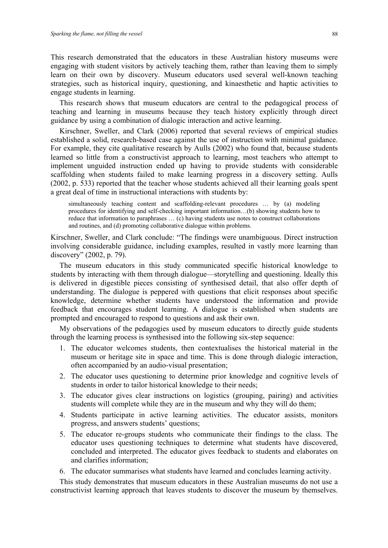This research demonstrated that the educators in these Australian history museums were engaging with student visitors by actively teaching them, rather than leaving them to simply learn on their own by discovery. Museum educators used several well-known teaching strategies, such as historical inquiry, questioning, and kinaesthetic and haptic activities to engage students in learning.

This research shows that museum educators are central to the pedagogical process of teaching and learning in museums because they teach history explicitly through direct guidance by using a combination of dialogic interaction and active learning.

Kirschner, Sweller, and Clark (2006) reported that several reviews of empirical studies established a solid, research-based case against the use of instruction with minimal guidance. For example, they cite qualitative research by Aulls (2002) who found that, because students learned so little from a constructivist approach to learning, most teachers who attempt to implement unguided instruction ended up having to provide students with considerable scaffolding when students failed to make learning progress in a discovery setting. Aulls (2002, p. 533) reported that the teacher whose students achieved all their learning goals spent a great deal of time in instructional interactions with students by:

simultaneously teaching content and scaffolding-relevant procedures … by (a) modeling procedures for identifying and self-checking important information…(b) showing students how to reduce that information to paraphrases … (c) having students use notes to construct collaborations and routines, and (d) promoting collaborative dialogue within problems.

Kirschner, Sweller, and Clark conclude: "The findings were unambiguous. Direct instruction involving considerable guidance, including examples, resulted in vastly more learning than discovery" (2002, p. 79).

The museum educators in this study communicated specific historical knowledge to students by interacting with them through dialogue—storytelling and questioning. Ideally this is delivered in digestible pieces consisting of synthesised detail, that also offer depth of understanding. The dialogue is peppered with questions that elicit responses about specific knowledge, determine whether students have understood the information and provide feedback that encourages student learning. A dialogue is established when students are prompted and encouraged to respond to questions and ask their own.

My observations of the pedagogies used by museum educators to directly guide students through the learning process is synthesised into the following six-step sequence:

- 1. The educator welcomes students, then contextualises the historical material in the museum or heritage site in space and time. This is done through dialogic interaction, often accompanied by an audio-visual presentation;
- 2. The educator uses questioning to determine prior knowledge and cognitive levels of students in order to tailor historical knowledge to their needs;
- 3. The educator gives clear instructions on logistics (grouping, pairing) and activities students will complete while they are in the museum and why they will do them;
- 4. Students participate in active learning activities. The educator assists, monitors progress, and answers students' questions;
- 5. The educator re-groups students who communicate their findings to the class. The educator uses questioning techniques to determine what students have discovered, concluded and interpreted. The educator gives feedback to students and elaborates on and clarifies information;
- 6. The educator summarises what students have learned and concludes learning activity.

This study demonstrates that museum educators in these Australian museums do not use a constructivist learning approach that leaves students to discover the museum by themselves.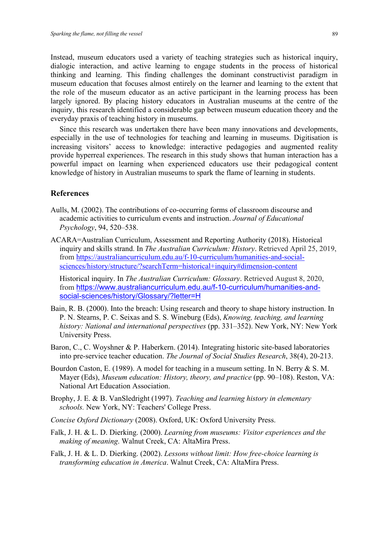Instead, museum educators used a variety of teaching strategies such as historical inquiry, dialogic interaction, and active learning to engage students in the process of historical thinking and learning. This finding challenges the dominant constructivist paradigm in museum education that focuses almost entirely on the learner and learning to the extent that the role of the museum educator as an active participant in the learning process has been largely ignored. By placing history educators in Australian museums at the centre of the inquiry, this research identified a considerable gap between museum education theory and the everyday praxis of teaching history in museums.

Since this research was undertaken there have been many innovations and developments, especially in the use of technologies for teaching and learning in museums. Digitisation is increasing visitors' access to knowledge: interactive pedagogies and augmented reality provide hyperreal experiences. The research in this study shows that human interaction has a powerful impact on learning when experienced educators use their pedagogical content knowledge of history in Australian museums to spark the flame of learning in students.

#### **References**

- Aulls, M. (2002). The contributions of co-occurring forms of classroom discourse and academic activities to curriculum events and instruction. *Journal of Educational Psychology*, 94, 520–538.
- ACARA=Australian Curriculum, Assessment and Reporting Authority (2018). Historical inquiry and skills strand. In *The Australian Curriculum: History*. Retrieved April 25, 2019, from https://australiancurriculum.edu.au/f-10-curriculum/humanities-and-socialsciences/history/structure/?searchTerm=historical+inquiry#dimension-content

Historical inquiry. In *The Australian Curriculum: Glossary*. Retrieved August 8, 2020, from https://www.australiancurriculum.edu.au/f-10-curriculum/humanities-andsocial-sciences/history/Glossary/?letter=H

- Bain, R. B. (2000). Into the breach: Using research and theory to shape history instruction. In P. N. Stearns, P. C. Seixas and S. S. Wineburg (Eds), *Knowing, teaching, and learning history: National and international perspectives* (pp. 331–352). New York, NY: New York University Press.
- Baron, C., C. Woyshner & P. Haberkern. (2014). Integrating historic site-based laboratories into pre-service teacher education. *The Journal of Social Studies Research*, 38(4), 20-213.
- Bourdon Caston, E. (1989). A model for teaching in a museum setting. In N. Berry & S. M. Mayer (Eds), *Museum education: History, theory, and practice* (pp. 90–108). Reston, VA: National Art Education Association.
- Brophy, J. E. & B. VanSledright (1997). *Teaching and learning history in elementary schools.* New York, NY: Teachers' College Press.
- *Concise Oxford Dictionary* (2008). Oxford, UK: Oxford University Press.
- Falk, J. H. & L. D. Dierking. (2000). *Learning from museums: Visitor experiences and the making of meaning*. Walnut Creek, CA: AltaMira Press.
- Falk, J. H. & L. D. Dierking. (2002). *Lessons without limit: How free-choice learning is transforming education in America*. Walnut Creek, CA: AltaMira Press.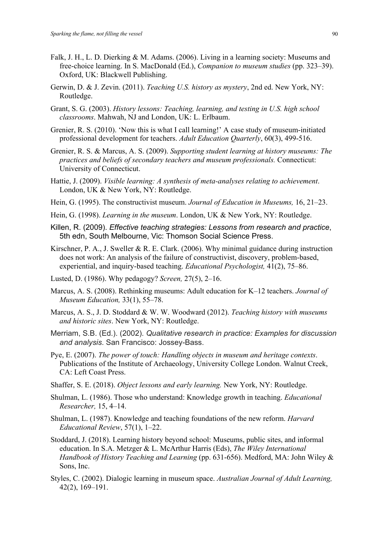- Falk, J. H., L. D. Dierking & M. Adams. (2006). Living in a learning society: Museums and free-choice learning. In S. MacDonald (Ed.), *Companion to museum studies* (pp. 323–39). Oxford, UK: Blackwell Publishing.
- Gerwin, D. & J. Zevin. (2011). *Teaching U.S. history as mystery*, 2nd ed. New York, NY: Routledge.
- Grant, S. G. (2003). *History lessons: Teaching, learning, and testing in U.S. high school classrooms*. Mahwah, NJ and London, UK: L. Erlbaum.
- Grenier, R. S. (2010). 'Now this is what I call learning!' A case study of museum-initiated professional development for teachers. *Adult Education Quarterly*, 60(3), 499-516.
- Grenier, R. S. & Marcus, A. S. (2009). *Supporting student learning at history museums: The practices and beliefs of secondary teachers and museum professionals.* Connecticut: University of Connecticut.
- Hattie, J. (2009). *Visible learning: A synthesis of meta-analyses relating to achievement*. London, UK & New York, NY: Routledge.
- Hein, G. (1995). The constructivist museum. *Journal of Education in Museums,* 16, 21–23.
- Hein, G. (1998). *Learning in the museum*. London, UK & New York, NY: Routledge.
- Killen, R. (2009). *Effective teaching strategies: Lessons from research and practice*, 5th edn, South Melbourne, Vic: Thomson Social Science Press.
- Kirschner, P. A., J. Sweller & R. E. Clark. (2006). Why minimal guidance during instruction does not work: An analysis of the failure of constructivist, discovery, problem-based, experiential, and inquiry-based teaching. *Educational Psychologist,* 41(2), 75–86.
- Lusted, D. (1986). Why pedagogy? *Screen,* 27(5), 2–16.
- Marcus, A. S. (2008). Rethinking museums: Adult education for K–12 teachers. *Journal of Museum Education,* 33(1), 55–78.
- Marcus, A. S., J. D. Stoddard & W. W. Woodward (2012). *Teaching history with museums and historic sites*. New York, NY: Routledge.
- Merriam, S.B. (Ed.). (2002). *Qualitative research in practice: Examples for discussion and analysis*. San Francisco: Jossey-Bass.
- Pye, E. (2007). *The power of touch: Handling objects in museum and heritage contexts*. Publications of the Institute of Archaeology, University College London. Walnut Creek, CA: Left Coast Press.
- Shaffer, S. E. (2018). *Object lessons and early learning.* New York, NY: Routledge.
- Shulman, L. (1986). Those who understand: Knowledge growth in teaching. *Educational Researcher,* 15, 4–14.
- Shulman, L. (1987). Knowledge and teaching foundations of the new reform. *Harvard Educational Review*, 57(1), 1–22.
- Stoddard, J. (2018). Learning history beyond school: Museums, public sites, and informal education. In S.A. Metzger & L. McArthur Harris (Eds), *The Wiley International Handbook of History Teaching and Learning* (pp. 631-656). Medford, MA: John Wiley & Sons, Inc.
- Styles, C. (2002). Dialogic learning in museum space. *Australian Journal of Adult Learning,* 42(2), 169–191.